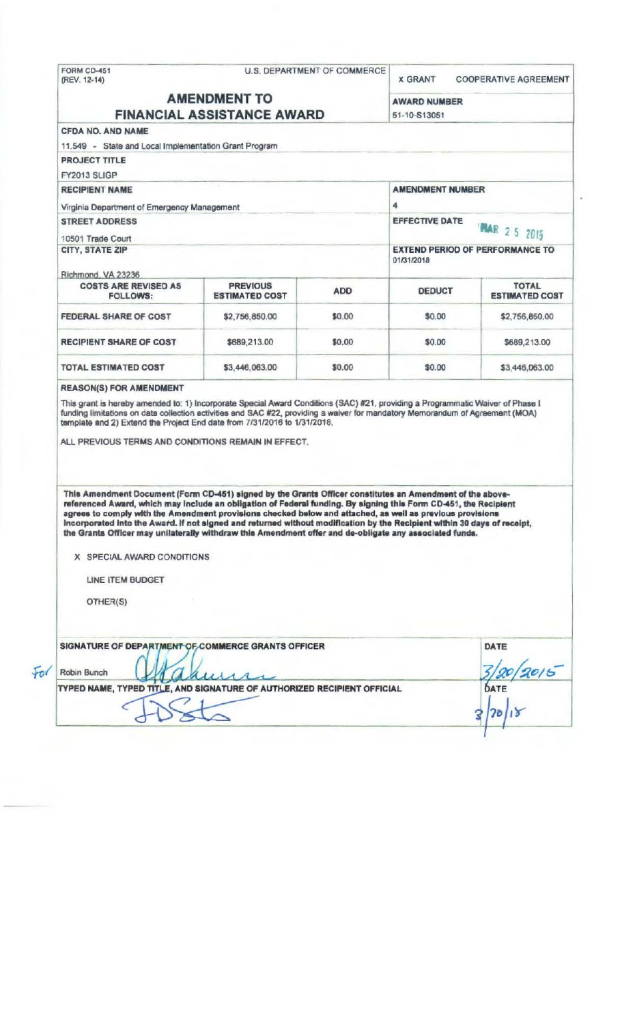|                                                                                                                                                                                                                                                                                                                                                                                                                                                                                                                                                                                                                 |                                          | <b>U.S. DEPARTMENT OF COMMERCE</b> | <b>X GRANT</b>                         | <b>COOPERATIVE AGREEMENT</b>          |  |
|-----------------------------------------------------------------------------------------------------------------------------------------------------------------------------------------------------------------------------------------------------------------------------------------------------------------------------------------------------------------------------------------------------------------------------------------------------------------------------------------------------------------------------------------------------------------------------------------------------------------|------------------------------------------|------------------------------------|----------------------------------------|---------------------------------------|--|
| <b>AMENDMENT TO</b><br><b>FINANCIAL ASSISTANCE AWARD</b>                                                                                                                                                                                                                                                                                                                                                                                                                                                                                                                                                        |                                          |                                    | <b>AWARD NUMBER</b><br>51-10-S13051    |                                       |  |
|                                                                                                                                                                                                                                                                                                                                                                                                                                                                                                                                                                                                                 |                                          |                                    |                                        |                                       |  |
| 11.549 - State and Local Implementation Grant Program                                                                                                                                                                                                                                                                                                                                                                                                                                                                                                                                                           |                                          |                                    |                                        |                                       |  |
| <b>PROJECT TITLE</b>                                                                                                                                                                                                                                                                                                                                                                                                                                                                                                                                                                                            |                                          |                                    |                                        |                                       |  |
| FY2013 SLIGP                                                                                                                                                                                                                                                                                                                                                                                                                                                                                                                                                                                                    |                                          |                                    |                                        |                                       |  |
| <b>RECIPIENT NAME</b>                                                                                                                                                                                                                                                                                                                                                                                                                                                                                                                                                                                           |                                          |                                    | <b>AMENDMENT NUMBER</b>                |                                       |  |
|                                                                                                                                                                                                                                                                                                                                                                                                                                                                                                                                                                                                                 |                                          |                                    | 4                                      |                                       |  |
| Virginia Department of Emergency Management                                                                                                                                                                                                                                                                                                                                                                                                                                                                                                                                                                     |                                          |                                    | <b>EFFECTIVE DATE</b>                  |                                       |  |
| <b>STREET ADDRESS</b>                                                                                                                                                                                                                                                                                                                                                                                                                                                                                                                                                                                           |                                          |                                    | <b>MAR 25 2015</b>                     |                                       |  |
| 10501 Trade Court<br>CITY, STATE ZIP                                                                                                                                                                                                                                                                                                                                                                                                                                                                                                                                                                            |                                          |                                    | <b>EXTEND PERIOD OF PERFORMANCE TO</b> |                                       |  |
|                                                                                                                                                                                                                                                                                                                                                                                                                                                                                                                                                                                                                 |                                          | 01/31/2018                         |                                        |                                       |  |
| Richmond, VA 23236                                                                                                                                                                                                                                                                                                                                                                                                                                                                                                                                                                                              |                                          |                                    |                                        |                                       |  |
| <b>COSTS ARE REVISED AS</b><br><b>FOLLOWS:</b>                                                                                                                                                                                                                                                                                                                                                                                                                                                                                                                                                                  | <b>PREVIOUS</b><br><b>ESTIMATED COST</b> | <b>ADD</b>                         | <b>DEDUCT</b>                          | <b>TOTAL</b><br><b>ESTIMATED COST</b> |  |
| <b>FEDERAL SHARE OF COST</b>                                                                                                                                                                                                                                                                                                                                                                                                                                                                                                                                                                                    | \$2,756,850.00                           | \$0.00                             | \$0.00                                 | \$2,756,850.00                        |  |
| <b>RECIPIENT SHARE OF COST</b>                                                                                                                                                                                                                                                                                                                                                                                                                                                                                                                                                                                  | \$689,213.00                             | \$0.00                             | \$0.00                                 | \$689,213.00                          |  |
| <b>TOTAL ESTIMATED COST</b>                                                                                                                                                                                                                                                                                                                                                                                                                                                                                                                                                                                     | \$3,446,063.00                           | \$0.00                             | \$0.00                                 | \$3,446,063.00                        |  |
|                                                                                                                                                                                                                                                                                                                                                                                                                                                                                                                                                                                                                 |                                          |                                    |                                        |                                       |  |
| <b>REASON(S) FOR AMENDMENT</b><br>This grant is hereby amended to: 1) Incorporate Special Award Conditions (SAC) #21, providing a Programmatic Waiver of Phase I<br>funding limitations on data collection activities and SAC #22, providing a waiver for mandatory Memorandum of Agreement (MOA)<br>template and 2) Extend the Project End date from 7/31/2016 to 1/31/2018.<br>ALL PREVIOUS TERMS AND CONDITIONS REMAIN IN EFFECT.                                                                                                                                                                            |                                          |                                    |                                        |                                       |  |
| This Amendment Document (Form CD-451) signed by the Grants Officer constitutes an Amendment of the above-<br>referenced Award, which may include an obligation of Federal funding. By signing this Form CD-451, the Recipient<br>agrees to comply with the Amendment provisions checked below and attached, as well as previous provisions<br>incorporated into the Award. If not signed and returned without modification by the Recipient within 30 days of receipt,<br>the Grants Officer may unilaterally withdraw this Amendment offer and de-obligate any associated funds.<br>X SPECIAL AWARD CONDITIONS |                                          |                                    |                                        |                                       |  |
|                                                                                                                                                                                                                                                                                                                                                                                                                                                                                                                                                                                                                 |                                          |                                    |                                        |                                       |  |
| <b>LINE ITEM BUDGET</b>                                                                                                                                                                                                                                                                                                                                                                                                                                                                                                                                                                                         |                                          |                                    |                                        |                                       |  |
| OTHER(S)                                                                                                                                                                                                                                                                                                                                                                                                                                                                                                                                                                                                        |                                          |                                    |                                        |                                       |  |
| SIGNATURE OF DEPARTMENT OF COMMERCE GRANTS OFFICER                                                                                                                                                                                                                                                                                                                                                                                                                                                                                                                                                              |                                          |                                    |                                        | DATE                                  |  |
| Robin Bunch                                                                                                                                                                                                                                                                                                                                                                                                                                                                                                                                                                                                     |                                          |                                    |                                        |                                       |  |
| TYPED NAME, TYPED TITLE, AND SIGNATURE OF AUTHORIZED RECIPIENT OFFICIAL                                                                                                                                                                                                                                                                                                                                                                                                                                                                                                                                         |                                          |                                    |                                        | DATE                                  |  |
|                                                                                                                                                                                                                                                                                                                                                                                                                                                                                                                                                                                                                 |                                          |                                    |                                        |                                       |  |